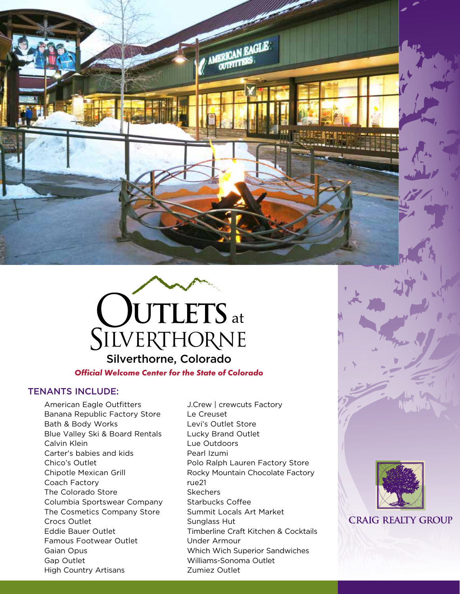

*Official Welcome Center for the State of Colorado*

## TENANTS INCLUDE:

American Eagle Outfitters Banana Republic Factory Store Bath & Body Works Blue Valley Ski & Board Rentals Calvin Klein Carter's babies and kids Chico's Outlet Chipotle Mexican Grill Coach Factory The Colorado Store Columbia Sportswear Company The Cosmetics Company Store Crocs Outlet Eddie Bauer Outlet Famous Footwear Outlet Gaian Opus Gap Outlet High Country Artisans

J.Crew | crewcuts Factory Le Creuset Levi's Outlet Store Lucky Brand Outlet Lue Outdoors Pearl Izumi Polo Ralph Lauren Factory Store Rocky Mountain Chocolate Factory rue21 **Skechers** Starbucks Coffee Summit Locals Art Market Sunglass Hut Timberline Craft Kitchen & Cocktails Under Armour Which Wich Superior Sandwiches Williams-Sonoma Outlet Zumiez Outlet

AMERICAN EAGLE



**CRAIG REALTY GROUP**